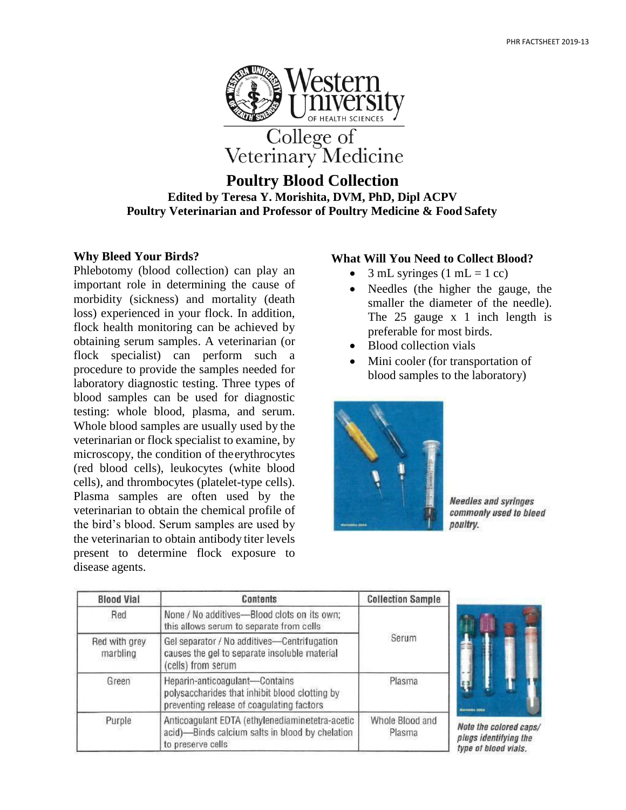

# **Poultry Blood Collection Edited by Teresa Y. Morishita, DVM, PhD, Dipl ACPV Poultry Veterinarian and Professor of Poultry Medicine & Food Safety**

# **Why Bleed Your Birds?**

Phlebotomy (blood collection) can play an important role in determining the cause of morbidity (sickness) and mortality (death loss) experienced in your flock. In addition, flock health monitoring can be achieved by obtaining serum samples. A veterinarian (or flock specialist) can perform such a procedure to provide the samples needed for laboratory diagnostic testing. Three types of blood samples can be used for diagnostic testing: whole blood, plasma, and serum. Whole blood samples are usually used by the veterinarian or flock specialist to examine, by microscopy, the condition of theerythrocytes (red blood cells), leukocytes (white blood cells), and thrombocytes (platelet-type cells). Plasma samples are often used by the veterinarian to obtain the chemical profile of the bird's blood. Serum samples are used by the veterinarian to obtain antibody titer levels present to determine flock exposure to disease agents.

# **What Will You Need to Collect Blood?**

- $3$  mL syringes (1 mL = 1 cc)
- Needles (the higher the gauge, the smaller the diameter of the needle). The 25 gauge x 1 inch length is preferable for most birds.
- Blood collection vials
- Mini cooler (for transportation of blood samples to the laboratory)



**Needles and syringes** commonly used to bleed poultry.

| <b>Blood Vial</b>         | Contents                                                                                                                      | <b>Collection Sample</b>  |
|---------------------------|-------------------------------------------------------------------------------------------------------------------------------|---------------------------|
| Red                       | None / No additives-Blood clots on its own;<br>this allows serum to separate from cells                                       | Serum                     |
| Red with grey<br>marbling | Gel separator / No additives-Centrifugation<br>causes the gel to separate insoluble material<br>(cells) from serum            |                           |
| Green                     | Heparin-anticoagulant-Contains<br>polysaccharides that inhibit blood clotting by<br>preventing release of coagulating factors | Plasma                    |
| Purple                    | Anticoagulant EDTA (ethylenediaminetetra-acetic<br>acid)-Binds calcium salts in blood by chelation<br>to preserve cells       | Whole Blood and<br>Plasma |



Note the colored cans/ plugs identifying the type of blood vials.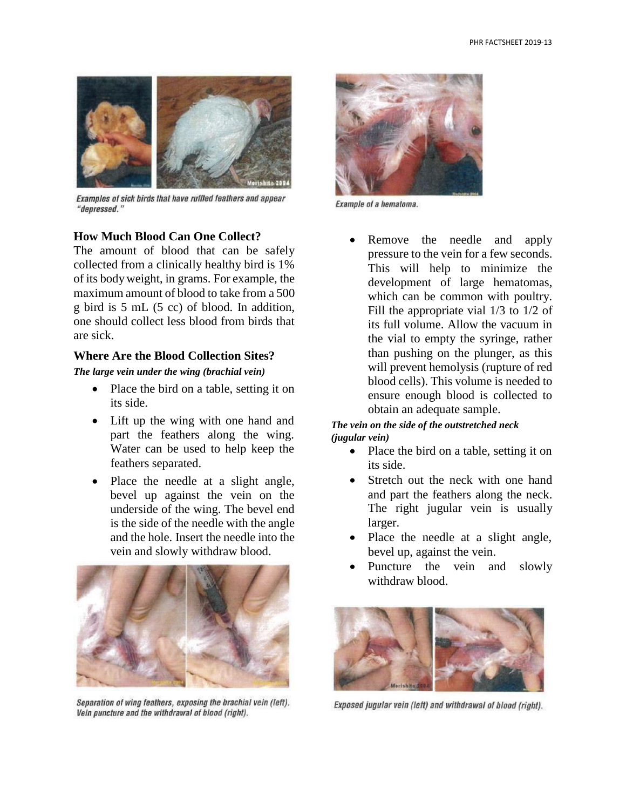

Examples of sick birds that have ruffled feathers and appear "depressed."

## **How Much Blood Can One Collect?**

The amount of blood that can be safely collected from a clinically healthy bird is 1% of its bodyweight, in grams. For example, the maximum amount of blood to take from a 500 g bird is 5 mL (5 cc) of blood. In addition, one should collect less blood from birds that are sick.

### **Where Are the Blood Collection Sites?**

*The large vein under the wing (brachial vein)*

- Place the bird on a table, setting it on its side.
- Lift up the wing with one hand and part the feathers along the wing. Water can be used to help keep the feathers separated.
- Place the needle at a slight angle, bevel up against the vein on the underside of the wing. The bevel end is the side of the needle with the angle and the hole. Insert the needle into the vein and slowly withdraw blood.



Separation of wing feathers, exposing the brachial vein (left). Vein puncture and the withdrawal of blood (right).



Example of a hematoma.

Remove the needle and apply pressure to the vein for a few seconds. This will help to minimize the development of large hematomas, which can be common with poultry. Fill the appropriate vial 1/3 to 1/2 of its full volume. Allow the vacuum in the vial to empty the syringe, rather than pushing on the plunger, as this will prevent hemolysis (rupture of red blood cells). This volume is needed to ensure enough blood is collected to obtain an adequate sample.

#### *The vein on the side of the outstretched neck (jugular vein)*

- Place the bird on a table, setting it on its side.
- Stretch out the neck with one hand and part the feathers along the neck. The right jugular vein is usually larger.
- Place the needle at a slight angle, bevel up, against the vein.
- Puncture the vein and slowly withdraw blood.



Exposed jugular vein (left) and withdrawal of blood (right).